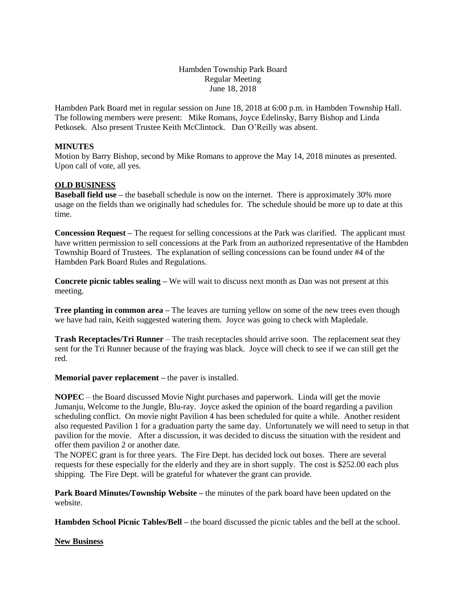# Hambden Township Park Board Regular Meeting June 18, 2018

Hambden Park Board met in regular session on June 18, 2018 at 6:00 p.m. in Hambden Township Hall. The following members were present: Mike Romans, Joyce Edelinsky, Barry Bishop and Linda Petkosek. Also present Trustee Keith McClintock. Dan O'Reilly was absent.

## **MINUTES**

Motion by Barry Bishop, second by Mike Romans to approve the May 14, 2018 minutes as presented. Upon call of vote, all yes.

# **OLD BUSINESS**

**Baseball field use** – the baseball schedule is now on the internet. There is approximately 30% more usage on the fields than we originally had schedules for. The schedule should be more up to date at this time.

**Concession Request –** The request for selling concessions at the Park was clarified. The applicant must have written permission to sell concessions at the Park from an authorized representative of the Hambden Township Board of Trustees. The explanation of selling concessions can be found under #4 of the Hambden Park Board Rules and Regulations.

**Concrete picnic tables sealing –** We will wait to discuss next month as Dan was not present at this meeting.

**Tree planting in common area** – The leaves are turning yellow on some of the new trees even though we have had rain, Keith suggested watering them. Joyce was going to check with Mapledale.

**Trash Receptacles/Tri Runner** – The trash receptacles should arrive soon. The replacement seat they sent for the Tri Runner because of the fraying was black. Joyce will check to see if we can still get the red.

## **Memorial paver replacement –** the paver is installed.

**NOPEC** – the Board discussed Movie Night purchases and paperwork. Linda will get the movie Jumanju, Welcome to the Jungle, Blu-ray. Joyce asked the opinion of the board regarding a pavilion scheduling conflict. On movie night Pavilion 4 has been scheduled for quite a while. Another resident also requested Pavilion 1 for a graduation party the same day. Unfortunately we will need to setup in that pavilion for the movie. After a discussion, it was decided to discuss the situation with the resident and offer them pavilion 2 or another date.

The NOPEC grant is for three years. The Fire Dept. has decided lock out boxes. There are several requests for these especially for the elderly and they are in short supply. The cost is \$252.00 each plus shipping. The Fire Dept. will be grateful for whatever the grant can provide.

**Park Board Minutes/Township Website –** the minutes of the park board have been updated on the website.

**Hambden School Picnic Tables/Bell –** the board discussed the picnic tables and the bell at the school.

## **New Business**